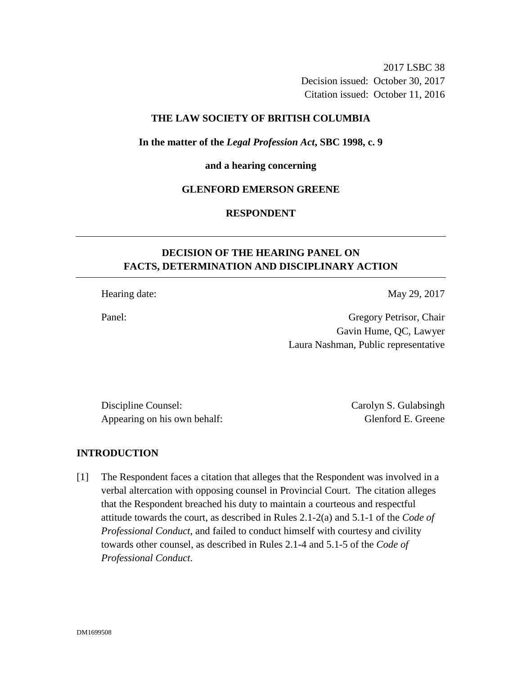2017 LSBC 38 Decision issued: October 30, 2017 Citation issued: October 11, 2016

### **THE LAW SOCIETY OF BRITISH COLUMBIA**

### **In the matter of the** *Legal Profession Act***, SBC 1998, c. 9**

#### **and a hearing concerning**

#### **GLENFORD EMERSON GREENE**

# **RESPONDENT**

# **DECISION OF THE HEARING PANEL ON FACTS, DETERMINATION AND DISCIPLINARY ACTION**

Hearing date: May 29, 2017

Panel: Gregory Petrisor, Chair Gavin Hume, QC, Lawyer Laura Nashman, Public representative

Discipline Counsel: Carolyn S. Gulabsingh Appearing on his own behalf: Glenford E. Greene

#### **INTRODUCTION**

[1] The Respondent faces a citation that alleges that the Respondent was involved in a verbal altercation with opposing counsel in Provincial Court. The citation alleges that the Respondent breached his duty to maintain a courteous and respectful attitude towards the court, as described in Rules 2.1-2(a) and 5.1-1 of the *Code of Professional Conduct*, and failed to conduct himself with courtesy and civility towards other counsel, as described in Rules 2.1-4 and 5.1-5 of the *Code of Professional Conduct*.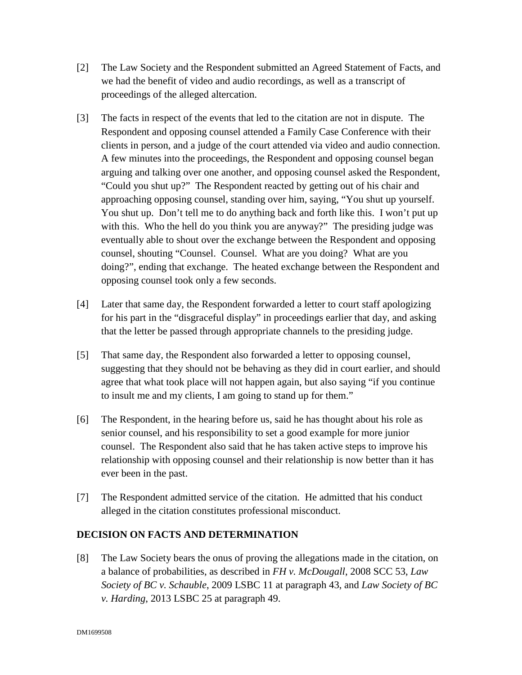- [2] The Law Society and the Respondent submitted an Agreed Statement of Facts, and we had the benefit of video and audio recordings, as well as a transcript of proceedings of the alleged altercation.
- [3] The facts in respect of the events that led to the citation are not in dispute. The Respondent and opposing counsel attended a Family Case Conference with their clients in person, and a judge of the court attended via video and audio connection. A few minutes into the proceedings, the Respondent and opposing counsel began arguing and talking over one another, and opposing counsel asked the Respondent, "Could you shut up?" The Respondent reacted by getting out of his chair and approaching opposing counsel, standing over him, saying, "You shut up yourself. You shut up. Don't tell me to do anything back and forth like this. I won't put up with this. Who the hell do you think you are anyway?" The presiding judge was eventually able to shout over the exchange between the Respondent and opposing counsel, shouting "Counsel. Counsel. What are you doing? What are you doing?", ending that exchange. The heated exchange between the Respondent and opposing counsel took only a few seconds.
- [4] Later that same day, the Respondent forwarded a letter to court staff apologizing for his part in the "disgraceful display" in proceedings earlier that day, and asking that the letter be passed through appropriate channels to the presiding judge.
- [5] That same day, the Respondent also forwarded a letter to opposing counsel, suggesting that they should not be behaving as they did in court earlier, and should agree that what took place will not happen again, but also saying "if you continue to insult me and my clients, I am going to stand up for them."
- [6] The Respondent, in the hearing before us, said he has thought about his role as senior counsel, and his responsibility to set a good example for more junior counsel. The Respondent also said that he has taken active steps to improve his relationship with opposing counsel and their relationship is now better than it has ever been in the past.
- [7] The Respondent admitted service of the citation. He admitted that his conduct alleged in the citation constitutes professional misconduct.

# **DECISION ON FACTS AND DETERMINATION**

[8] The Law Society bears the onus of proving the allegations made in the citation, on a balance of probabilities, as described in *FH v. McDougall*, 2008 SCC 53, *Law Society of BC v. Schauble*, 2009 LSBC 11 at paragraph 43, and *Law Society of BC v. Harding*, 2013 LSBC 25 at paragraph 49.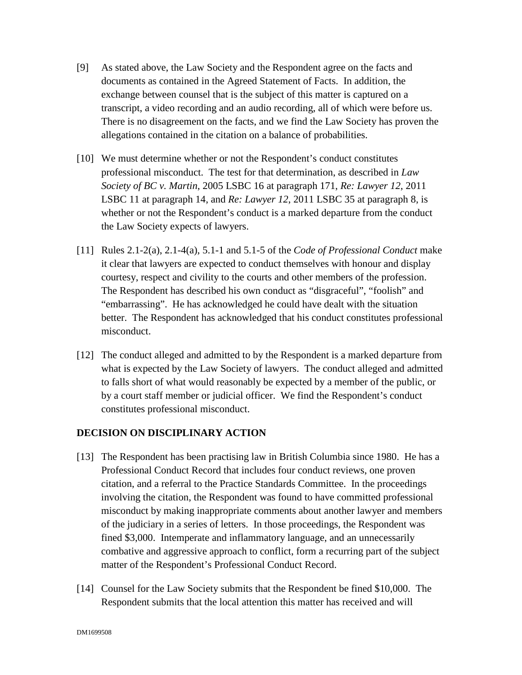- [9] As stated above, the Law Society and the Respondent agree on the facts and documents as contained in the Agreed Statement of Facts. In addition, the exchange between counsel that is the subject of this matter is captured on a transcript, a video recording and an audio recording, all of which were before us. There is no disagreement on the facts, and we find the Law Society has proven the allegations contained in the citation on a balance of probabilities.
- [10] We must determine whether or not the Respondent's conduct constitutes professional misconduct. The test for that determination, as described in *Law Society of BC v. Martin*, 2005 LSBC 16 at paragraph 171, *Re: Lawyer 12*, 2011 LSBC 11 at paragraph 14, and *Re: Lawyer 12*, 2011 LSBC 35 at paragraph 8, is whether or not the Respondent's conduct is a marked departure from the conduct the Law Society expects of lawyers.
- [11] Rules 2.1-2(a), 2.1-4(a), 5.1-1 and 5.1-5 of the *Code of Professional Conduct* make it clear that lawyers are expected to conduct themselves with honour and display courtesy, respect and civility to the courts and other members of the profession. The Respondent has described his own conduct as "disgraceful", "foolish" and "embarrassing". He has acknowledged he could have dealt with the situation better. The Respondent has acknowledged that his conduct constitutes professional misconduct.
- [12] The conduct alleged and admitted to by the Respondent is a marked departure from what is expected by the Law Society of lawyers. The conduct alleged and admitted to falls short of what would reasonably be expected by a member of the public, or by a court staff member or judicial officer. We find the Respondent's conduct constitutes professional misconduct.

# **DECISION ON DISCIPLINARY ACTION**

- [13] The Respondent has been practising law in British Columbia since 1980. He has a Professional Conduct Record that includes four conduct reviews, one proven citation, and a referral to the Practice Standards Committee. In the proceedings involving the citation, the Respondent was found to have committed professional misconduct by making inappropriate comments about another lawyer and members of the judiciary in a series of letters. In those proceedings, the Respondent was fined \$3,000. Intemperate and inflammatory language, and an unnecessarily combative and aggressive approach to conflict, form a recurring part of the subject matter of the Respondent's Professional Conduct Record.
- [14] Counsel for the Law Society submits that the Respondent be fined \$10,000. The Respondent submits that the local attention this matter has received and will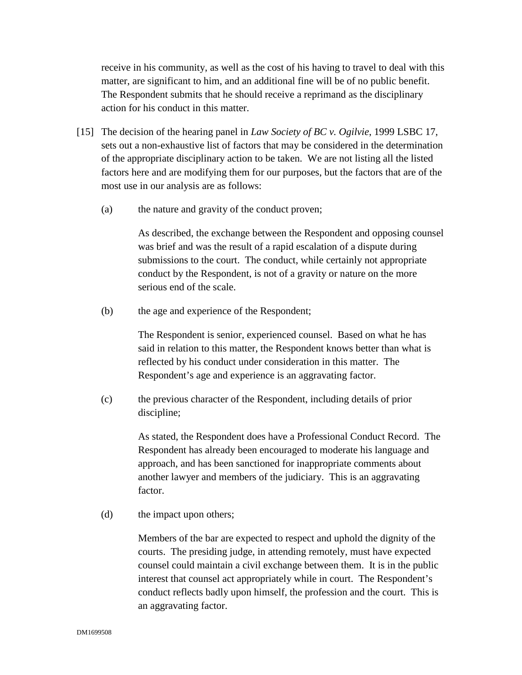receive in his community, as well as the cost of his having to travel to deal with this matter, are significant to him, and an additional fine will be of no public benefit. The Respondent submits that he should receive a reprimand as the disciplinary action for his conduct in this matter.

- [15] The decision of the hearing panel in *Law Society of BC v. Ogilvie*, 1999 LSBC 17, sets out a non-exhaustive list of factors that may be considered in the determination of the appropriate disciplinary action to be taken. We are not listing all the listed factors here and are modifying them for our purposes, but the factors that are of the most use in our analysis are as follows:
	- (a) the nature and gravity of the conduct proven;

As described, the exchange between the Respondent and opposing counsel was brief and was the result of a rapid escalation of a dispute during submissions to the court. The conduct, while certainly not appropriate conduct by the Respondent, is not of a gravity or nature on the more serious end of the scale.

(b) the age and experience of the Respondent;

The Respondent is senior, experienced counsel. Based on what he has said in relation to this matter, the Respondent knows better than what is reflected by his conduct under consideration in this matter. The Respondent's age and experience is an aggravating factor.

(c) the previous character of the Respondent, including details of prior discipline;

> As stated, the Respondent does have a Professional Conduct Record. The Respondent has already been encouraged to moderate his language and approach, and has been sanctioned for inappropriate comments about another lawyer and members of the judiciary. This is an aggravating factor.

(d) the impact upon others;

 Members of the bar are expected to respect and uphold the dignity of the courts. The presiding judge, in attending remotely, must have expected counsel could maintain a civil exchange between them. It is in the public interest that counsel act appropriately while in court. The Respondent's conduct reflects badly upon himself, the profession and the court. This is an aggravating factor.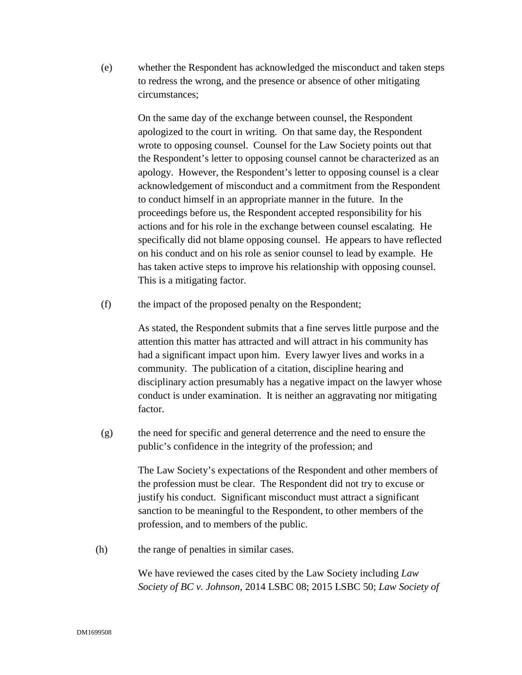(e) whether the Respondent has acknowledged the misconduct and taken steps to redress the wrong, and the presence or absence of other mitigating circumstances;

> On the same day of the exchange between counsel, the Respondent apologized to the court in writing. On that same day, the Respondent wrote to opposing counsel. Counsel for the Law Society points out that the Respondent's letter to opposing counsel cannot be characterized as an apology. However, the Respondent's letter to opposing counsel is a clear acknowledgement of misconduct and a commitment from the Respondent to conduct himself in an appropriate manner in the future. In the proceedings before us, the Respondent accepted responsibility for his actions and for his role in the exchange between counsel escalating. He specifically did not blame opposing counsel. He appears to have reflected on his conduct and on his role as senior counsel to lead by example. He has taken active steps to improve his relationship with opposing counsel. This is a mitigating factor.

(f) the impact of the proposed penalty on the Respondent;

As stated, the Respondent submits that a fine serves little purpose and the attention this matter has attracted and will attract in his community has had a significant impact upon him. Every lawyer lives and works in a community. The publication of a citation, discipline hearing and disciplinary action presumably has a negative impact on the lawyer whose conduct is under examination. It is neither an aggravating nor mitigating factor.

(g) the need for specific and general deterrence and the need to ensure the public's confidence in the integrity of the profession; and

> The Law Society's expectations of the Respondent and other members of the profession must be clear. The Respondent did not try to excuse or justify his conduct. Significant misconduct must attract a significant sanction to be meaningful to the Respondent, to other members of the profession, and to members of the public.

(h) the range of penalties in similar cases.

We have reviewed the cases cited by the Law Society including *Law Society of BC v. Johnson*, 2014 LSBC 08; 2015 LSBC 50; *Law Society of*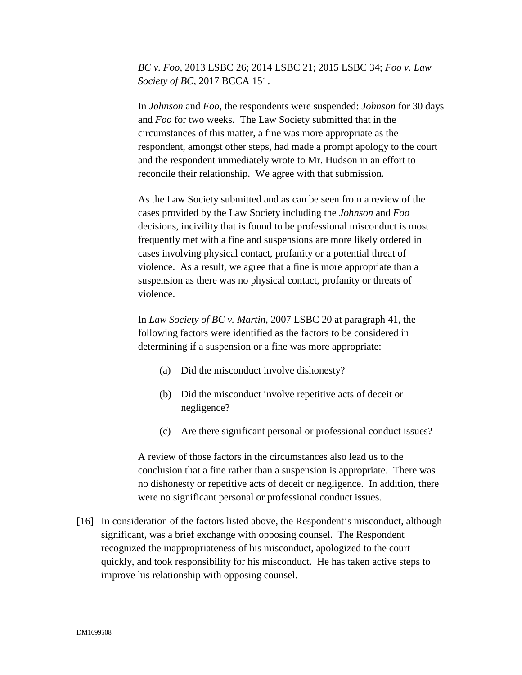*BC v. Foo*, 2013 LSBC 26; 2014 LSBC 21; 2015 LSBC 34; *Foo v. Law Society of BC,* 2017 BCCA 151.

In *Johnson* and *Foo*, the respondents were suspended: *Johnson* for 30 days and *Foo* for two weeks. The Law Society submitted that in the circumstances of this matter, a fine was more appropriate as the respondent, amongst other steps, had made a prompt apology to the court and the respondent immediately wrote to Mr. Hudson in an effort to reconcile their relationship. We agree with that submission.

As the Law Society submitted and as can be seen from a review of the cases provided by the Law Society including the *Johnson* and *Foo* decisions, incivility that is found to be professional misconduct is most frequently met with a fine and suspensions are more likely ordered in cases involving physical contact, profanity or a potential threat of violence. As a result, we agree that a fine is more appropriate than a suspension as there was no physical contact, profanity or threats of violence.

In *Law Society of BC v. Martin,* 2007 LSBC 20 at paragraph 41, the following factors were identified as the factors to be considered in determining if a suspension or a fine was more appropriate:

- (a) Did the misconduct involve dishonesty?
- (b) Did the misconduct involve repetitive acts of deceit or negligence?
- (c) Are there significant personal or professional conduct issues?

A review of those factors in the circumstances also lead us to the conclusion that a fine rather than a suspension is appropriate. There was no dishonesty or repetitive acts of deceit or negligence. In addition, there were no significant personal or professional conduct issues.

[16] In consideration of the factors listed above, the Respondent's misconduct, although significant, was a brief exchange with opposing counsel. The Respondent recognized the inappropriateness of his misconduct, apologized to the court quickly, and took responsibility for his misconduct. He has taken active steps to improve his relationship with opposing counsel.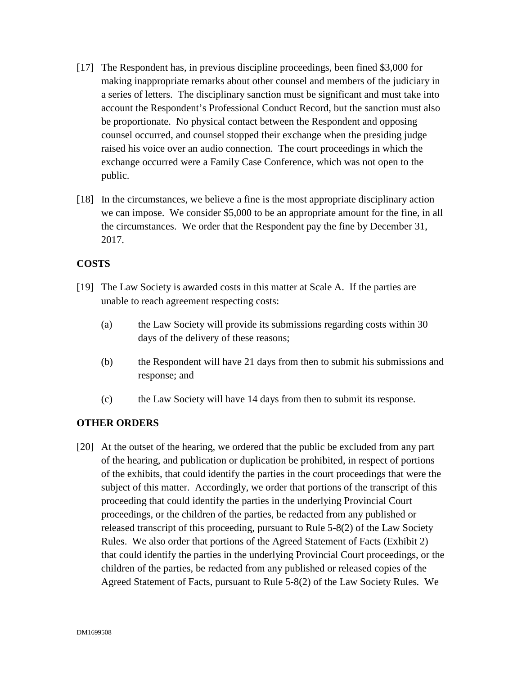- [17] The Respondent has, in previous discipline proceedings, been fined \$3,000 for making inappropriate remarks about other counsel and members of the judiciary in a series of letters. The disciplinary sanction must be significant and must take into account the Respondent's Professional Conduct Record, but the sanction must also be proportionate. No physical contact between the Respondent and opposing counsel occurred, and counsel stopped their exchange when the presiding judge raised his voice over an audio connection. The court proceedings in which the exchange occurred were a Family Case Conference, which was not open to the public.
- [18] In the circumstances, we believe a fine is the most appropriate disciplinary action we can impose. We consider \$5,000 to be an appropriate amount for the fine, in all the circumstances. We order that the Respondent pay the fine by December 31, 2017.

# **COSTS**

- [19] The Law Society is awarded costs in this matter at Scale A. If the parties are unable to reach agreement respecting costs:
	- (a) the Law Society will provide its submissions regarding costs within 30 days of the delivery of these reasons;
	- (b) the Respondent will have 21 days from then to submit his submissions and response; and
	- (c) the Law Society will have 14 days from then to submit its response.

# **OTHER ORDERS**

[20] At the outset of the hearing, we ordered that the public be excluded from any part of the hearing, and publication or duplication be prohibited, in respect of portions of the exhibits, that could identify the parties in the court proceedings that were the subject of this matter. Accordingly, we order that portions of the transcript of this proceeding that could identify the parties in the underlying Provincial Court proceedings, or the children of the parties, be redacted from any published or released transcript of this proceeding, pursuant to Rule 5-8(2) of the Law Society Rules. We also order that portions of the Agreed Statement of Facts (Exhibit 2) that could identify the parties in the underlying Provincial Court proceedings, or the children of the parties, be redacted from any published or released copies of the Agreed Statement of Facts, pursuant to Rule 5-8(2) of the Law Society Rules*.* We